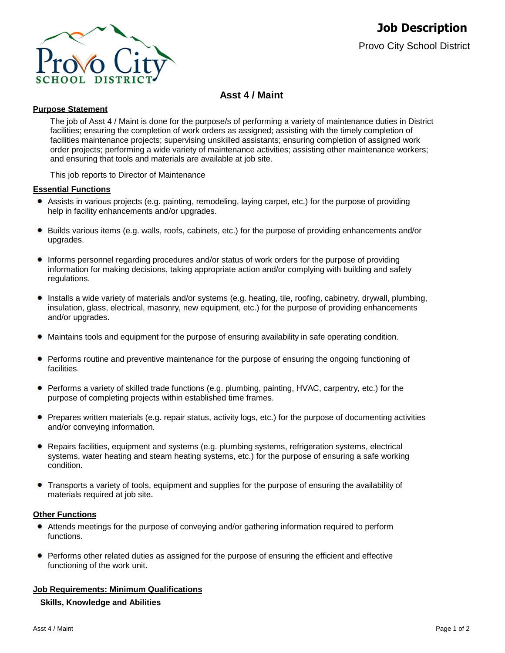

# **Asst 4 / Maint**

## **Purpose Statement**

The job of Asst 4 / Maint is done for the purpose/s of performing a variety of maintenance duties in District facilities; ensuring the completion of work orders as assigned; assisting with the timely completion of facilities maintenance projects; supervising unskilled assistants; ensuring completion of assigned work order projects; performing a wide variety of maintenance activities; assisting other maintenance workers; and ensuring that tools and materials are available at job site.

This job reports to Director of Maintenance

#### **Essential Functions**

- Assists in various projects (e.g. painting, remodeling, laying carpet, etc.) for the purpose of providing help in facility enhancements and/or upgrades.
- Builds various items (e.g. walls, roofs, cabinets, etc.) for the purpose of providing enhancements and/or upgrades.
- ۰ Informs personnel regarding procedures and/or status of work orders for the purpose of providing information for making decisions, taking appropriate action and/or complying with building and safety regulations.
- $\bullet$ Installs a wide variety of materials and/or systems (e.g. heating, tile, roofing, cabinetry, drywall, plumbing, insulation, glass, electrical, masonry, new equipment, etc.) for the purpose of providing enhancements and/or upgrades.
- Maintains tools and equipment for the purpose of ensuring availability in safe operating condition.
- $\bullet$ Performs routine and preventive maintenance for the purpose of ensuring the ongoing functioning of **facilities**
- Performs a variety of skilled trade functions (e.g. plumbing, painting, HVAC, carpentry, etc.) for the purpose of completing projects within established time frames.
- Prepares written materials (e.g. repair status, activity logs, etc.) for the purpose of documenting activities and/or conveying information.
- Repairs facilities, equipment and systems (e.g. plumbing systems, refrigeration systems, electrical systems, water heating and steam heating systems, etc.) for the purpose of ensuring a safe working condition.
- Transports a variety of tools, equipment and supplies for the purpose of ensuring the availability of materials required at job site.

## **Other Functions**

- Attends meetings for the purpose of conveying and/or gathering information required to perform functions.
- **•** Performs other related duties as assigned for the purpose of ensuring the efficient and effective functioning of the work unit.

#### **Job Requirements: Minimum Qualifications**

## **Skills, Knowledge and Abilities**